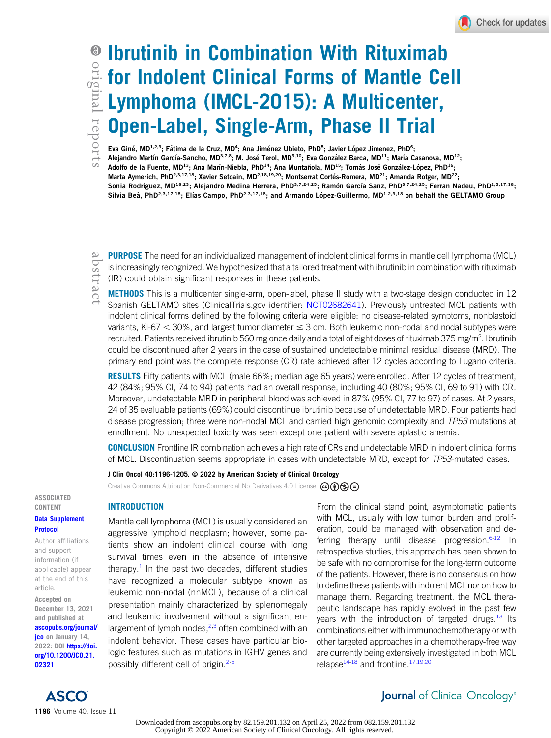# Ibrutinib in Combination With Rituximab for Indolent Clinical Forms of Mantle Cell Lymphoma (IMCL-2015): A Multicenter, Open-Label, Single-Arm, Phase II Trial

Eva Giné, MD<sup>1,2,3</sup>; Fátima de la Cruz, MD<sup>4</sup>; Ana Jiménez Ubieto, PhD<sup>5</sup>; Javier López Jimenez, PhD<sup>6</sup>; Alejandro Martín García-Sancho, MD<sup>3,7,8</sup>; M. José Terol, MD<sup>9,10</sup>; Eva González Barca, MD<sup>11</sup>; María Casanova, MD<sup>12</sup>; Adolfo de la Fuente, MD<sup>13</sup>; Ana Marín-Niebla, PhD<sup>14</sup>; Ana Muntañola, MD<sup>15</sup>; Tomás José González-López, PhD<sup>16</sup>; Marta Aymerich, PhD<sup>2,3,17,18</sup>; Xavier Setoain, MD<sup>2,18,19,20</sup>; Montserrat Cortés-Romera, MD<sup>21</sup>; Amanda Rotger, MD<sup>22</sup>; Sonia Rodríguez, MD<sup>18,23</sup>; Alejandro Medina Herrera, PhD<sup>3,7,24,25</sup>; Ramón García Sanz, PhD<sup>3,7,24,25</sup>; Ferran Nadeu, PhD<sup>2,3,17,18</sup>; Silvia Beà, PhD<sup>2,3,17,18</sup>; Elías Campo, PhD<sup>2,3,17,18</sup>; and Armando López-Guillermo, MD<sup>1,2,3,18</sup> on behalf the GELTAMO Group

PURPOSE The need for an individualized management of indolent clinical forms in mantle cell lymphoma (MCL) is increasingly recognized. We hypothesized that a tailored treatment with ibrutinib in combination with rituximab (IR) could obtain significant responses in these patients.

METHODS This is a multicenter single-arm, open-label, phase II study with a two-stage design conducted in 12 Spanish GELTAMO sites (ClinicalTrials.gov identifier: [NCT02682641\)](https://www.clinicaltrials.gov/ct2/show/NCT02682641). Previously untreated MCL patients with indolent clinical forms defined by the following criteria were eligible: no disease-related symptoms, nonblastoid variants, Ki-67  $<$  30%, and largest tumor diameter  $\leq$  3 cm. Both leukemic non-nodal and nodal subtypes were recruited. Patients received ibrutinib 560 mg once daily and a total of eight doses of rituximab 375 mg/m<sup>2</sup>. Ibrutinib could be discontinued after 2 years in the case of sustained undetectable minimal residual disease (MRD). The primary end point was the complete response (CR) rate achieved after 12 cycles according to Lugano criteria.

RESULTS Fifty patients with MCL (male 66%; median age 65 years) were enrolled. After 12 cycles of treatment, 42 (84%; 95% CI, 74 to 94) patients had an overall response, including 40 (80%; 95% CI, 69 to 91) with CR. Moreover, undetectable MRD in peripheral blood was achieved in 87% (95% CI, 77 to 97) of cases. At 2 years, 24 of 35 evaluable patients (69%) could discontinue ibrutinib because of undetectable MRD. Four patients had disease progression; three were non-nodal MCL and carried high genomic complexity and TP53 mutations at enrollment. No unexpected toxicity was seen except one patient with severe aplastic anemia.

CONCLUSION Frontline IR combination achieves a high rate of CRs and undetectable MRD in indolent clinical forms of MCL. Discontinuation seems appropriate in cases with undetectable MRD, except for TP53-mutated cases.

J Clin Oncol 40:1196-1205. © 2022 by American Society of Clinical Oncology

Creative Commons Attribution Non-Commercial No Derivatives 4.0 License  $\bigcirc$  (

# CONTENT [Data Supplement](https://ascopubs.org/doi/suppl/10.1200/JCO.21.02321)

ASSOCIATED

#### [Protocol](https://ascopubs.org/doi/suppl/10.1200/JCO.21.02321)

Author affiliations and support information (if applicable) appear at the end of this article.

Accepted on December 13, 2021 and published at [ascopubs.org/journal/](http://ascopubs.org/journal/jco) [jco](http://ascopubs.org/journal/jco) on January 14, 2022: DOI [https://doi.](http://ascopubs.org/doi/full/10.1200/JCO.21.02321) [org/10.1200/JCO.21.](http://ascopubs.org/doi/full/10.1200/JCO.21.02321) [02321](http://ascopubs.org/doi/full/10.1200/JCO.21.02321)

## INTRODUCTION

Mantle cell lymphoma (MCL) is usually considered an aggressive lymphoid neoplasm; however, some patients show an indolent clinical course with long survival times even in the absence of intensive therapy. $<sup>1</sup>$  $<sup>1</sup>$  $<sup>1</sup>$  In the past two decades, different studies</sup> have recognized a molecular subtype known as leukemic non-nodal (nnMCL), because of a clinical presentation mainly characterized by splenomegaly and leukemic involvement without a significant enlargement of lymph nodes, $^{2,3}$  $^{2,3}$  $^{2,3}$  $^{2,3}$  often combined with an indolent behavior. These cases have particular biologic features such as mutations in IGHV genes and possibly different cell of origin. $2-5$  $2-5$ 

From the clinical stand point, asymptomatic patients with MCL, usually with low tumor burden and proliferation, could be managed with observation and de-ferring therapy until disease progression.<sup>6-[12](#page-9-5)</sup> In retrospective studies, this approach has been shown to be safe with no compromise for the long-term outcome of the patients. However, there is no consensus on how to define these patients with indolent MCL nor on how to manage them. Regarding treatment, the MCL therapeutic landscape has rapidly evolved in the past few years with the introduction of targeted drugs. $^{13}$  $^{13}$  $^{13}$  Its combinations either with immunochemotherapy or with other targeted approaches in a chemotherapy-free way are currently being extensively investigated in both MCL relapse $14-18$  $14-18$  and frontline.<sup>[17](#page-9-9),[19](#page-9-10)[,20](#page-9-11)</sup>



Journal of Clinical Oncology®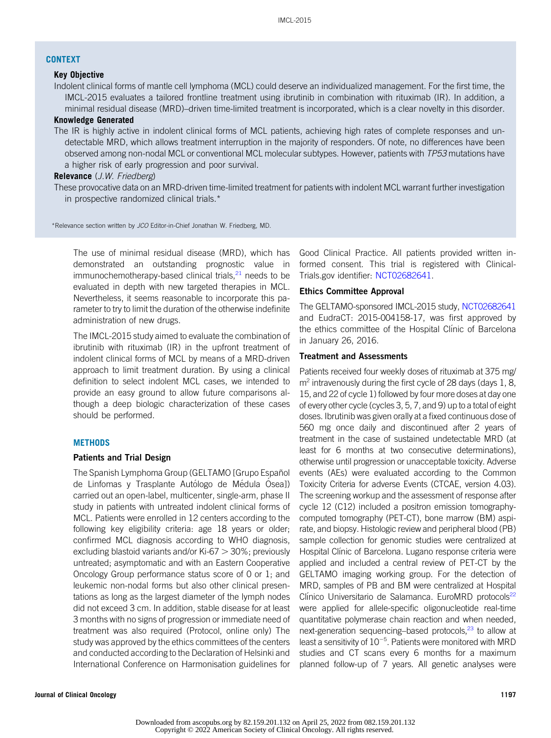## CONTEXT

## Key Objective

Indolent clinical forms of mantle cell lymphoma (MCL) could deserve an individualized management. For the first time, the IMCL-2015 evaluates a tailored frontline treatment using ibrutinib in combination with rituximab (IR). In addition, a minimal residual disease (MRD)–driven time-limited treatment is incorporated, which is a clear novelty in this disorder.

## Knowledge Generated

The IR is highly active in indolent clinical forms of MCL patients, achieving high rates of complete responses and undetectable MRD, which allows treatment interruption in the majority of responders. Of note, no differences have been observed among non-nodal MCL or conventional MCL molecular subtypes. However, patients with TP53 mutations have a higher risk of early progression and poor survival.

## Relevance (J.W. Friedberg)

These provocative data on an MRD-driven time-limited treatment for patients with indolent MCL warrant further investigation in prospective randomized clinical trials.\*

\*Relevance section written by JCO Editor-in-Chief Jonathan W. Friedberg, MD.

The use of minimal residual disease (MRD), which has demonstrated an outstanding prognostic value in immunochemotherapy-based clinical trials, $^{21}$  $^{21}$  $^{21}$  needs to be evaluated in depth with new targeted therapies in MCL. Nevertheless, it seems reasonable to incorporate this parameter to try to limit the duration of the otherwise indefinite administration of new drugs.

The IMCL-2015 study aimed to evaluate the combination of ibrutinib with rituximab (IR) in the upfront treatment of indolent clinical forms of MCL by means of a MRD-driven approach to limit treatment duration. By using a clinical definition to select indolent MCL cases, we intended to provide an easy ground to allow future comparisons although a deep biologic characterization of these cases should be performed.

## **METHODS**

## Patients and Trial Design

The Spanish Lymphoma Group (GELTAMO [Grupo Español de Linfomas y Trasplante Autólogo de Médula Osea]) carried out an open-label, multicenter, single-arm, phase II study in patients with untreated indolent clinical forms of MCL. Patients were enrolled in 12 centers according to the following key eligibility criteria: age 18 years or older; confirmed MCL diagnosis according to WHO diagnosis, excluding blastoid variants and/or Ki-67  $>$  30%; previously untreated; asymptomatic and with an Eastern Cooperative Oncology Group performance status score of 0 or 1; and leukemic non-nodal forms but also other clinical presentations as long as the largest diameter of the lymph nodes did not exceed 3 cm. In addition, stable disease for at least 3 months with no signs of progression or immediate need of treatment was also required (Protocol, online only) The study was approved by the ethics committees of the centers and conducted according to the Declaration of Helsinki and International Conference on Harmonisation guidelines for

Good Clinical Practice. All patients provided written informed consent. This trial is registered with Clinical-Trials.gov identifier: [NCT02682641](https://www.clinicaltrials.gov/ct2/show/NCT02682641).

## Ethics Committee Approval

The GELTAMO-sponsored IMCL-2015 study, [NCT02682641](https://www.clinicaltrials.gov/ct2/show/NCT02682641) and EudraCT: 2015-004158-17, was first approved by the ethics committee of the Hospital Clínic of Barcelona in January 26, 2016.

## Treatment and Assessments

Patients received four weekly doses of rituximab at 375 mg/  $m<sup>2</sup>$  intravenously during the first cycle of 28 days (days 1, 8, 15, and 22 of cycle 1) followed by four more doses at day one of every other cycle (cycles 3, 5, 7, and 9) up to a total of eight doses. Ibrutinib was given orally at a fixed continuous dose of 560 mg once daily and discontinued after 2 years of treatment in the case of sustained undetectable MRD (at least for 6 months at two consecutive determinations), otherwise until progression or unacceptable toxicity. Adverse events (AEs) were evaluated according to the Common Toxicity Criteria for adverse Events (CTCAE, version 4.03). The screening workup and the assessment of response after cycle 12 (C12) included a positron emission tomographycomputed tomography (PET-CT), bone marrow (BM) aspirate, and biopsy. Histologic review and peripheral blood (PB) sample collection for genomic studies were centralized at Hospital Clínic of Barcelona. Lugano response criteria were applied and included a central review of PET-CT by the GELTAMO imaging working group. For the detection of MRD, samples of PB and BM were centralized at Hospital Clínico Universitario de Salamanca. EuroMRD protocols<sup>22</sup> were applied for allele-specific oligonucleotide real-time quantitative polymerase chain reaction and when needed, next-generation sequencing–based protocols,<sup>23</sup> to allow at least a sensitivity of  $10^{-5}$ . Patients were monitored with MRD studies and CT scans every 6 months for a maximum planned follow-up of 7 years. All genetic analyses were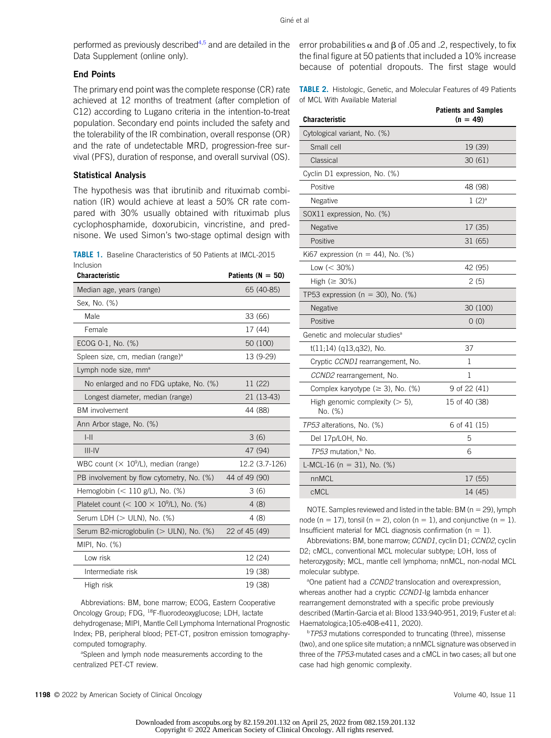performed as previously described<sup>[4,](#page-9-15)[5](#page-9-3)</sup> and are detailed in the Data Supplement (online only).

# End Points

The primary end point was the complete response (CR) rate achieved at 12 months of treatment (after completion of C12) according to Lugano criteria in the intention-to-treat population. Secondary end points included the safety and the tolerability of the IR combination, overall response (OR) and the rate of undetectable MRD, progression-free survival (PFS), duration of response, and overall survival (OS).

## Statistical Analysis

The hypothesis was that ibrutinib and rituximab combination (IR) would achieve at least a 50% CR rate compared with 30% usually obtained with rituximab plus cyclophosphamide, doxorubicin, vincristine, and prednisone. We used Simon's two-stage optimal design with

<span id="page-2-0"></span>

|                  | <b>TABLE 1.</b> Baseline Characteristics of 50 Patients at IMCL-2015 |
|------------------|----------------------------------------------------------------------|
| <b>Inclusion</b> |                                                                      |

| Characteristic                                    | Patients ( $N = 50$ ) |
|---------------------------------------------------|-----------------------|
| Median age, years (range)                         | 65 (40-85)            |
| Sex, No. (%)                                      |                       |
| Male                                              | 33 (66)               |
| Female                                            | 17 (44)               |
| ECOG 0-1, No. (%)                                 | 50 (100)              |
| Spleen size, cm, median (range) <sup>a</sup>      | 13 (9-29)             |
| Lymph node size, mm <sup>a</sup>                  |                       |
| No enlarged and no FDG uptake, No. (%)            | 11 (22)               |
| Longest diameter, median (range)                  | 21 (13-43)            |
| <b>BM</b> involvement                             | 44 (88)               |
| Ann Arbor stage, No. (%)                          |                       |
| $  -  $                                           | 3(6)                  |
| $III - IV$                                        | 47 (94)               |
| WBC count $(\times 10^9$ /L), median (range)      | 12.2 (3.7-126)        |
| PB involvement by flow cytometry, No. (%)         | 44 of 49 (90)         |
| Hemoglobin $(< 110$ g/L), No. $(\%)$              | 3(6)                  |
| Platelet count ( $< 100 \times 10^9$ /L), No. (%) | 4(8)                  |
| Serum LDH $($ $>$ ULN), No. $($ %)                | 4 (8)                 |
| Serum B2-microglobulin (> ULN), No. (%)           | 22 of 45 (49)         |
| MIPI, No. (%)                                     |                       |
| Low risk                                          | 12 (24)               |
| Intermediate risk                                 | 19 (38)               |
| High risk                                         | 19 (38)               |

Abbreviations: BM, bone marrow; ECOG, Eastern Cooperative Oncology Group; FDG, 18F-fluorodeoxyglucose; LDH, lactate dehydrogenase; MIPI, Mantle Cell Lymphoma International Prognostic Index; PB, peripheral blood; PET-CT, positron emission tomographycomputed tomography.

<sup>a</sup>Spleen and lymph node measurements according to the centralized PET-CT review.

error probabilities  $\alpha$  and  $\beta$  of .05 and .2, respectively, to fix the final figure at 50 patients that included a 10% increase because of potential dropouts. The first stage would

<span id="page-2-1"></span>TABLE 2. Histologic, Genetic, and Molecular Features of 49 Patients of MCL With Available Material

| <b>Characteristic</b>                        | <b>Patients and Samples</b><br>$(n = 49)$ |  |  |  |
|----------------------------------------------|-------------------------------------------|--|--|--|
| Cytological variant, No. (%)                 |                                           |  |  |  |
| Small cell                                   | 19 (39)                                   |  |  |  |
| Classical                                    | 30(61)                                    |  |  |  |
| Cyclin D1 expression, No. (%)                |                                           |  |  |  |
| Positive                                     | 48 (98)                                   |  |  |  |
| Negative                                     | $1(2)^a$                                  |  |  |  |
| SOX11 expression, No. (%)                    |                                           |  |  |  |
| Negative                                     | 17 (35)                                   |  |  |  |
| Positive                                     | 31 (65)                                   |  |  |  |
| Ki67 expression ( $n = 44$ ), No. (%)        |                                           |  |  |  |
| Low $(< 30\%)$                               | 42 (95)                                   |  |  |  |
| High ( $\geq$ 30%)                           | 2(5)                                      |  |  |  |
| TP53 expression ( $n = 30$ ), No. (%)        |                                           |  |  |  |
| Negative                                     | 30 (100)                                  |  |  |  |
| Positive                                     | 0(0)                                      |  |  |  |
| Genetic and molecular studies <sup>a</sup>   |                                           |  |  |  |
| $t(11;14)$ (q13,q32), No.                    | 37                                        |  |  |  |
| Cryptic CCND1 rearrangement, No.             | 1                                         |  |  |  |
| CCND2 rearrangement, No.                     | 1                                         |  |  |  |
| Complex karyotype ( $\geq$ 3), No. (%)       | 9 of 22 (41)                              |  |  |  |
| High genomic complexity $(> 5)$ ,<br>No. (%) | 15 of 40 (38)                             |  |  |  |
| TP53 alterations, No. (%)                    | 6 of 41 (15)                              |  |  |  |
| Del 17p/LOH, No.                             | 5                                         |  |  |  |
| TP53 mutation, <sup>b</sup> No.              | 6                                         |  |  |  |
| L-MCL-16 ( $n = 31$ ), No. (%)               |                                           |  |  |  |
| nnMCL                                        | 17 (55)                                   |  |  |  |
| <b>cMCL</b>                                  | 14 (45)                                   |  |  |  |

NOTE. Samples reviewed and listed in the table: BM ( $n = 29$ ), lymph node (n = 17), tonsil (n = 2), colon (n = 1), and conjunctive (n = 1). Insufficient material for MCL diagnosis confirmation ( $n = 1$ ).

Abbreviations: BM, bone marrow; CCND1, cyclin D1; CCND2, cyclin D2; cMCL, conventional MCL molecular subtype; LOH, loss of heterozygosity; MCL, mantle cell lymphoma; nnMCL, non-nodal MCL molecular subtype.

<sup>a</sup>One patient had a CCND2 translocation and overexpression, whereas another had a cryptic CCND1-Ig lambda enhancer rearrangement demonstrated with a specific probe previously described (Martín-Garcia et al: Blood 133:940-951, 2019; Fuster et al: Haematologica;105:e408-e411, 2020).

<sup>b</sup> TP53 mutations corresponded to truncating (three), missense (two), and one splice site mutation; a nnMCL signature was observed in three of the TP53-mutated cases and a cMCL in two cases; all but one case had high genomic complexity.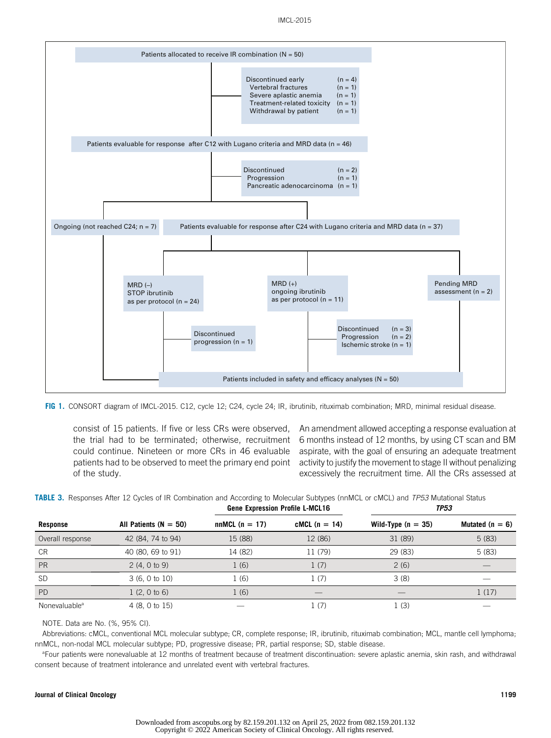

<span id="page-3-0"></span>FIG 1. CONSORT diagram of IMCL-2015. C12, cycle 12; C24, cycle 24; IR, ibrutinib, rituximab combination; MRD, minimal residual disease.

the trial had to be terminated; otherwise, recruitment could continue. Nineteen or more CRs in 46 evaluable patients had to be observed to meet the primary end point of the study.

consist of 15 patients. If five or less CRs were observed, An amendment allowed accepting a response evaluation at 6 months instead of 12 months, by using CT scan and BM aspirate, with the goal of ensuring an adequate treatment activity to justify the movement to stage II without penalizing excessively the recruitment time. All the CRs assessed at

|                           |                           | <b>GUILD EXPICSSION LIBRIC E-MOLIC</b> |                 | ,, .,                |                   |
|---------------------------|---------------------------|----------------------------------------|-----------------|----------------------|-------------------|
| Response                  | All Patients ( $N = 50$ ) | $nnMCL (n = 17)$                       | $cMCL$ (n = 14) | Wild-Type $(n = 35)$ | Mutated $(n = 6)$ |
| Overall response          | 42 (84, 74 to 94)         | 15 (88)                                | 12 (86)         | 31 (89)              | 5(83)             |
| CR                        | 40 (80, 69 to 91)         | 14 (82)                                | 11 (79)         | 29 (83)              | 5(83)             |
| <b>PR</b>                 | 2(4, 0 to 9)              | 1(6)                                   | 1(7)            | 2(6)                 |                   |
| <b>SD</b>                 | 3(6, 0 to 10)             | 1 (6)                                  | 1(7)            | 3(8)                 |                   |
| <b>PD</b>                 | 1(2, 0 to 6)              | 1(6)                                   |                 |                      | 1(17)             |
| Nonevaluable <sup>a</sup> | 4(8, 0 to 15)             |                                        | 1(7)            | 1(3)                 |                   |

<span id="page-3-1"></span>TABLE 3. Responses After 12 Cycles of IR Combination and According to Molecular Subtypes (nnMCL or cMCL) and TP53 Mutational Status Gene Expression Profile L-MCL16

NOTE. Data are No. (%, 95% CI).

Abbreviations: cMCL, conventional MCL molecular subtype; CR, complete response; IR, ibrutinib, rituximab combination; MCL, mantle cell lymphoma; nnMCL, non-nodal MCL molecular subtype; PD, progressive disease; PR, partial response; SD, stable disease.

a Four patients were nonevaluable at 12 months of treatment because of treatment discontinuation: severe aplastic anemia, skin rash, and withdrawal consent because of treatment intolerance and unrelated event with vertebral fractures.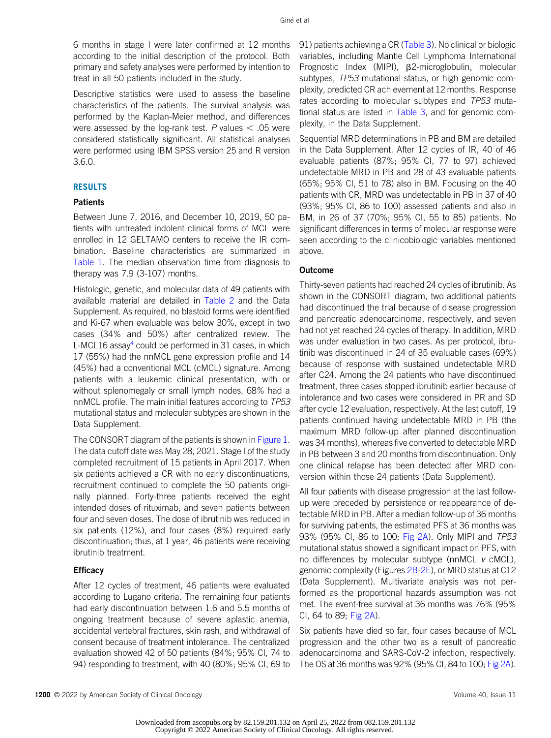6 months in stage I were later confirmed at 12 months according to the initial description of the protocol. Both primary and safety analyses were performed by intention to treat in all 50 patients included in the study.

Descriptive statistics were used to assess the baseline characteristics of the patients. The survival analysis was performed by the Kaplan-Meier method, and differences were assessed by the log-rank test. P values  $<$  .05 were considered statistically significant. All statistical analyses were performed using IBM SPSS version 25 and R version 3.6.0.

# RESULTS

# **Patients**

Between June 7, 2016, and December 10, 2019, 50 patients with untreated indolent clinical forms of MCL were enrolled in 12 GELTAMO centers to receive the IR combination. Baseline characteristics are summarized in [Table 1.](#page-2-0) The median observation time from diagnosis to therapy was 7.9 (3-107) months.

Histologic, genetic, and molecular data of 49 patients with available material are detailed in [Table 2](#page-2-1) and the Data Supplement. As required, no blastoid forms were identified and Ki-67 when evaluable was below 30%, except in two cases (34% and 50%) after centralized review. The L-MCL16 assay<sup>[4](#page-9-15)</sup> could be performed in 31 cases, in which 17 (55%) had the nnMCL gene expression profile and 14 (45%) had a conventional MCL (cMCL) signature. Among patients with a leukemic clinical presentation, with or without splenomegaly or small lymph nodes, 68% had a nnMCL profile. The main initial features according to TP53 mutational status and molecular subtypes are shown in the Data Supplement.

The CONSORT diagram of the patients is shown in [Figure 1](#page-3-0). The data cutoff date was May 28, 2021. Stage I of the study completed recruitment of 15 patients in April 2017. When six patients achieved a CR with no early discontinuations, recruitment continued to complete the 50 patients originally planned. Forty-three patients received the eight intended doses of rituximab, and seven patients between four and seven doses. The dose of ibrutinib was reduced in six patients (12%), and four cases (8%) required early discontinuation; thus, at 1 year, 46 patients were receiving ibrutinib treatment.

### **Efficacy**

After 12 cycles of treatment, 46 patients were evaluated according to Lugano criteria. The remaining four patients had early discontinuation between 1.6 and 5.5 months of ongoing treatment because of severe aplastic anemia, accidental vertebral fractures, skin rash, and withdrawal of consent because of treatment intolerance. The centralized evaluation showed 42 of 50 patients (84%; 95% CI, 74 to 94) responding to treatment, with 40 (80%; 95% CI, 69 to

91) patients achieving a CR ([Table 3\)](#page-3-1). No clinical or biologic variables, including Mantle Cell Lymphoma International Prognostic Index (MIPI),  $\beta$ 2-microglobulin, molecular subtypes, TP53 mutational status, or high genomic complexity, predicted CR achievement at 12 months. Response rates according to molecular subtypes and TP53 muta-tional status are listed in [Table 3,](#page-3-1) and for genomic complexity, in the Data Supplement.

Sequential MRD determinations in PB and BM are detailed in the Data Supplement. After 12 cycles of IR, 40 of 46 evaluable patients (87%; 95% CI, 77 to 97) achieved undetectable MRD in PB and 28 of 43 evaluable patients (65%; 95% CI, 51 to 78) also in BM. Focusing on the 40 patients with CR, MRD was undetectable in PB in 37 of 40 (93%; 95% CI, 86 to 100) assessed patients and also in BM, in 26 of 37 (70%; 95% CI, 55 to 85) patients. No significant differences in terms of molecular response were seen according to the clinicobiologic variables mentioned above.

## Outcome

Thirty-seven patients had reached 24 cycles of ibrutinib. As shown in the CONSORT diagram, two additional patients had discontinued the trial because of disease progression and pancreatic adenocarcinoma, respectively, and seven had not yet reached 24 cycles of therapy. In addition, MRD was under evaluation in two cases. As per protocol, ibrutinib was discontinued in 24 of 35 evaluable cases (69%) because of response with sustained undetectable MRD after C24. Among the 24 patients who have discontinued treatment, three cases stopped ibrutinib earlier because of intolerance and two cases were considered in PR and SD after cycle 12 evaluation, respectively. At the last cutoff, 19 patients continued having undetectable MRD in PB (the maximum MRD follow-up after planned discontinuation was 34 months), whereas five converted to detectable MRD in PB between 3 and 20 months from discontinuation. Only one clinical relapse has been detected after MRD conversion within those 24 patients (Data Supplement).

All four patients with disease progression at the last followup were preceded by persistence or reappearance of detectable MRD in PB. After a median follow-up of 36 months for surviving patients, the estimated PFS at 36 months was 93% (95% CI, 86 to 100; [Fig 2A\)](#page-5-0). Only MIPI and TP53 mutational status showed a significant impact on PFS, with no differences by molecular subtype ( $nnMCL$  v  $cMCL$ ), genomic complexity (Figures [2B-2E](#page-5-0)), or MRD status at C12 (Data Supplement). Multivariate analysis was not performed as the proportional hazards assumption was not met. The event-free survival at 36 months was 76% (95% CI, 64 to 89; [Fig 2A](#page-5-0)).

Six patients have died so far, four cases because of MCL progression and the other two as a result of pancreatic adenocarcinoma and SARS-CoV-2 infection, respectively. The OS at 36 months was 92% (95% CI, 84 to 100; [Fig 2A](#page-5-0)).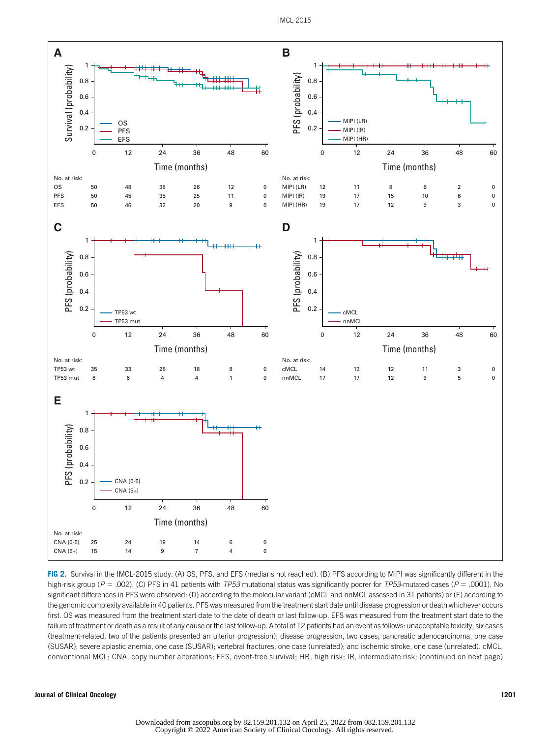

<span id="page-5-0"></span>FIG 2. Survival in the IMCL-2015 study. (A) OS, PFS, and EFS (medians not reached). (B) PFS according to MIPI was significantly different in the high-risk group ( $P = .002$ ). (C) PFS in 41 patients with TP53 mutational status was significantly poorer for TP53-mutated cases ( $P = .0001$ ). No significant differences in PFS were observed: (D) according to the molecular variant (cMCL and nnMCL assessed in 31 patients) or (E) according to the genomic complexity available in 40 patients. PFS was measured from the treatment start date until disease progression or death whichever occurs first. OS was measured from the treatment start date to the date of death or last follow-up. EFS was measured from the treatment start date to the failure of treatment or death as a result of any cause or the last follow-up. A total of 12 patients had an event as follows: unacceptable toxicity, six cases (treatment-related, two of the patients presented an ulterior progression); disease progression, two cases; pancreatic adenocarcinoma, one case (SUSAR); severe aplastic anemia, one case (SUSAR); vertebral fractures, one case (unrelated); and ischemic stroke, one case (unrelated). cMCL, conventional MCL; CNA, copy number alterations; EFS, event-free survival; HR, high risk; IR, intermediate risk; (continued on next page)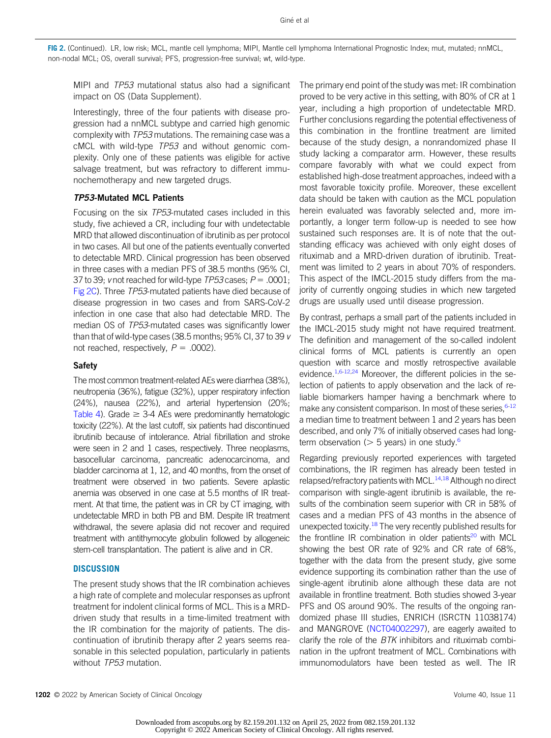FIG 2. (Continued). LR, low risk; MCL, mantle cell lymphoma; MIPI, Mantle cell lymphoma International Prognostic Index; mut, mutated; nnMCL, non-nodal MCL; OS, overall survival; PFS, progression-free survival; wt, wild-type.

MIPI and TP53 mutational status also had a significant impact on OS (Data Supplement).

Interestingly, three of the four patients with disease progression had a nnMCL subtype and carried high genomic complexity with TP53 mutations. The remaining case was a cMCL with wild-type TP53 and without genomic complexity. Only one of these patients was eligible for active salvage treatment, but was refractory to different immunochemotherapy and new targeted drugs.

## TP53-Mutated MCL Patients

Focusing on the six TP53-mutated cases included in this study, five achieved a CR, including four with undetectable MRD that allowed discontinuation of ibrutinib as per protocol in two cases. All but one of the patients eventually converted to detectable MRD. Clinical progression has been observed in three cases with a median PFS of 38.5 months (95% CI, 37 to 39; v not reached for wild-type  $TP53$  cases;  $P = .0001$ ; [Fig 2C\)](#page-5-0). Three TP53-mutated patients have died because of disease progression in two cases and from SARS-CoV-2 infection in one case that also had detectable MRD. The median OS of TP53-mutated cases was significantly lower than that of wild-type cases (38.5 months; 95% CI, 37 to 39 v not reached, respectively,  $P = .0002$ ).

#### Safety

The most common treatment-related AEs were diarrhea (38%), neutropenia (36%), fatigue (32%), upper respiratory infection (24%), nausea (22%), and arterial hypertension (20%; [Table 4\)](#page-7-0). Grade  $\geq$  3-4 AEs were predominantly hematologic toxicity (22%). At the last cutoff, six patients had discontinued ibrutinib because of intolerance. Atrial fibrillation and stroke were seen in 2 and 1 cases, respectively. Three neoplasms, basocellular carcinoma, pancreatic adenocarcinoma, and bladder carcinoma at 1, 12, and 40 months, from the onset of treatment were observed in two patients. Severe aplastic anemia was observed in one case at 5.5 months of IR treatment. At that time, the patient was in CR by CT imaging, with undetectable MRD in both PB and BM. Despite IR treatment withdrawal, the severe aplasia did not recover and required treatment with antithymocyte globulin followed by allogeneic stem-cell transplantation. The patient is alive and in CR.

#### **DISCUSSION**

The present study shows that the IR combination achieves a high rate of complete and molecular responses as upfront treatment for indolent clinical forms of MCL. This is a MRDdriven study that results in a time-limited treatment with the IR combination for the majority of patients. The discontinuation of ibrutinib therapy after 2 years seems reasonable in this selected population, particularly in patients without TP53 mutation.

The primary end point of the study was met: IR combination proved to be very active in this setting, with 80% of CR at 1 year, including a high proportion of undetectable MRD. Further conclusions regarding the potential effectiveness of this combination in the frontline treatment are limited because of the study design, a nonrandomized phase II study lacking a comparator arm. However, these results compare favorably with what we could expect from established high-dose treatment approaches, indeed with a most favorable toxicity profile. Moreover, these excellent data should be taken with caution as the MCL population herein evaluated was favorably selected and, more importantly, a longer term follow-up is needed to see how sustained such responses are. It is of note that the outstanding efficacy was achieved with only eight doses of rituximab and a MRD-driven duration of ibrutinib. Treatment was limited to 2 years in about 70% of responders. This aspect of the IMCL-2015 study differs from the majority of currently ongoing studies in which new targeted drugs are usually used until disease progression.

By contrast, perhaps a small part of the patients included in the IMCL-2015 study might not have required treatment. The definition and management of the so-called indolent clinical forms of MCL patients is currently an open question with scarce and mostly retrospective available evidence.<sup>1[,6](#page-9-4)[-12,](#page-9-5)[24](#page-9-16)</sup> Moreover, the different policies in the selection of patients to apply observation and the lack of reliable biomarkers hamper having a benchmark where to make any consistent comparison. In most of these series, 6[-12](#page-9-5) a median time to treatment between 1 and 2 years has been described, and only 7% of initially observed cases had longterm observation ( $>$  5 years) in one study.<sup>[6](#page-9-4)</sup>

Regarding previously reported experiences with targeted combinations, the IR regimen has already been tested in relapsed/refractory patients with MCL.<sup>[14](#page-9-7),[18](#page-9-8)</sup> Although no direct comparison with single-agent ibrutinib is available, the results of the combination seem superior with CR in 58% of cases and a median PFS of 43 months in the absence of unexpected toxicity.<sup>18</sup> The very recently published results for the frontline IR combination in older patients<sup>20</sup> with MCL showing the best OR rate of 92% and CR rate of 68%, together with the data from the present study, give some evidence supporting its combination rather than the use of single-agent ibrutinib alone although these data are not available in frontline treatment. Both studies showed 3-year PFS and OS around 90%. The results of the ongoing randomized phase III studies, ENRICH (ISRCTN 11038174) and MANGROVE [\(NCT04002297\)](https://www.clinicaltrials.gov/ct2/show/NCT04002297), are eagerly awaited to clarify the role of the  $BTK$  inhibitors and rituximab combination in the upfront treatment of MCL. Combinations with immunomodulators have been tested as well. The IR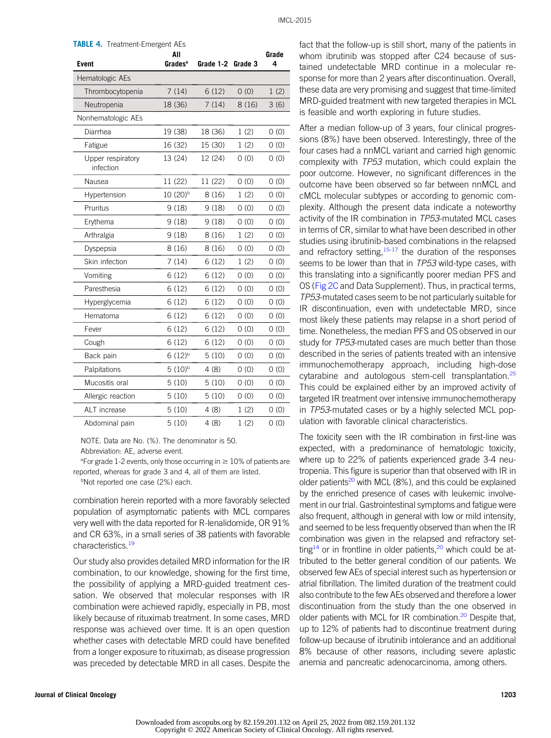<span id="page-7-0"></span>

| <b>TABLE 4.</b> Treatment-Emergent AEs<br>All<br>Grade |                      |           |         |      |  |  |  |  |
|--------------------------------------------------------|----------------------|-----------|---------|------|--|--|--|--|
| <b>Event</b>                                           | Grades <sup>a</sup>  | Grade 1-2 | Grade 3 | 4    |  |  |  |  |
| Hematologic AEs                                        |                      |           |         |      |  |  |  |  |
| Thrombocytopenia                                       | 7(14)                | 6(12)     | 0(0)    | 1(2) |  |  |  |  |
| Neutropenia                                            | 18 (36)              | 7(14)     | 8(16)   | 3(6) |  |  |  |  |
| Nonhematologic AEs                                     |                      |           |         |      |  |  |  |  |
| Diarrhea                                               | 19 (38)              | 18 (36)   | 1(2)    | 0(0) |  |  |  |  |
| Fatigue                                                | 16 (32)              | 15 (30)   | 1(2)    | 0(0) |  |  |  |  |
| Upper respiratory<br>infection                         | 13 (24)              | 12 (24)   | 0(0)    | 0(0) |  |  |  |  |
| Nausea                                                 | 11 (22)              | 11 (22)   | 0(0)    | 0(0) |  |  |  |  |
| Hypertension                                           | 10 (20) <sup>b</sup> | 8(16)     | 1(2)    | 0(0) |  |  |  |  |
| Pruritus                                               | 9(18)                | 9(18)     | 0(0)    | 0(0) |  |  |  |  |
| Erythema                                               | 9(18)                | 9(18)     | 0(0)    | 0(0) |  |  |  |  |
| Arthralgia                                             | 9(18)                | 8(16)     | 1(2)    | 0(0) |  |  |  |  |
| Dyspepsia                                              | 8(16)                | 8(16)     | 0(0)    | 0(0) |  |  |  |  |
| Skin infection                                         | 7(14)                | 6(12)     | 1(2)    | 0(0) |  |  |  |  |
| Vomiting                                               | 6(12)                | 6(12)     | 0(0)    | 0(0) |  |  |  |  |
| Paresthesia                                            | 6(12)                | 6(12)     | 0(0)    | 0(0) |  |  |  |  |
| Hyperglycemia                                          | 6(12)                | 6(12)     | 0(0)    | 0(0) |  |  |  |  |
| Hematoma                                               | 6(12)                | 6(12)     | 0(0)    | 0(0) |  |  |  |  |
| Fever                                                  | 6(12)                | 6(12)     | 0(0)    | 0(0) |  |  |  |  |
| Cough                                                  | 6(12)                | 6(12)     | 0(0)    | 0(0) |  |  |  |  |
| Back pain                                              | $6(12)^{b}$          | 5(10)     | 0(0)    | 0(0) |  |  |  |  |
| Palpitations                                           | $5(10)^{b}$          | 4(8)      | 0(0)    | 0(0) |  |  |  |  |
| Mucositis oral                                         | 5(10)                | 5(10)     | 0(0)    | 0(0) |  |  |  |  |
| Allergic reaction                                      | 5(10)                | 5(10)     | 0(0)    | 0(0) |  |  |  |  |
| ALT increase                                           | 5(10)                | 4(8)      | 1(2)    | 0(0) |  |  |  |  |
| Abdominal pain                                         | 5(10)                | 4(8)      | 1(2)    | 0(0) |  |  |  |  |

NOTE. Data are No. (%). The denominator is 50.

Abbreviation: AE, adverse event.

<sup>a</sup>For grade 1-2 events, only those occurring in  $\geq 10\%$  of patients are reported, whereas for grade 3 and 4, all of them are listed.

bNot reported one case (2%) each.

combination herein reported with a more favorably selected population of asymptomatic patients with MCL compares very well with the data reported for R-lenalidomide, OR 91% and CR 63%, in a small series of 38 patients with favorable characteristics.<sup>19</sup>

Our study also provides detailed MRD information for the IR combination, to our knowledge, showing for the first time, the possibility of applying a MRD-guided treatment cessation. We observed that molecular responses with IR combination were achieved rapidly, especially in PB, most likely because of rituximab treatment. In some cases, MRD response was achieved over time. It is an open question whether cases with detectable MRD could have benefited from a longer exposure to rituximab, as disease progression was preceded by detectable MRD in all cases. Despite the fact that the follow-up is still short, many of the patients in whom ibrutinib was stopped after C24 because of sustained undetectable MRD continue in a molecular response for more than 2 years after discontinuation. Overall, these data are very promising and suggest that time-limited MRD-guided treatment with new targeted therapies in MCL is feasible and worth exploring in future studies.

After a median follow-up of 3 years, four clinical progressions (8%) have been observed. Interestingly, three of the four cases had a nnMCL variant and carried high genomic complexity with TP53 mutation, which could explain the poor outcome. However, no significant differences in the outcome have been observed so far between nnMCL and cMCL molecular subtypes or according to genomic complexity. Although the present data indicate a noteworthy activity of the IR combination in TP53-mutated MCL cases in terms of CR, similar to what have been described in other studies using ibrutinib-based combinations in the relapsed and refractory setting,  $15-17$  $15-17$  the duration of the responses seems to be lower than that in TP53 wild-type cases, with this translating into a significantly poorer median PFS and OS [\(Fig 2C](#page-5-0) and Data Supplement). Thus, in practical terms, TP53-mutated cases seem to be not particularly suitable for IR discontinuation, even with undetectable MRD, since most likely these patients may relapse in a short period of time. Nonetheless, the median PFS and OS observed in our study for TP53-mutated cases are much better than those described in the series of patients treated with an intensive immunochemotherapy approach, including high-dose cytarabine and autologous stem-cell transplantation.<sup>[25](#page-9-18)</sup> This could be explained either by an improved activity of targeted IR treatment over intensive immunochemotherapy in TP53-mutated cases or by a highly selected MCL population with favorable clinical characteristics.

The toxicity seen with the IR combination in first-line was expected, with a predominance of hematologic toxicity, where up to 22% of patients experienced grade 3-4 neutropenia. This figure is superior than that observed with IR in older patients<sup>20</sup> with MCL (8%), and this could be explained by the enriched presence of cases with leukemic involvement in our trial. Gastrointestinal symptoms and fatigue were also frequent, although in general with low or mild intensity, and seemed to be less frequently observed than when the IR combination was given in the relapsed and refractory set-ting<sup>14</sup> or in frontline in older patients,<sup>[20](#page-9-11)</sup> which could be attributed to the better general condition of our patients. We observed few AEs of special interest such as hypertension or atrial fibrillation. The limited duration of the treatment could also contribute to the few AEs observed and therefore a lower discontinuation from the study than the one observed in older patients with MCL for IR combination.<sup>20</sup> Despite that, up to 12% of patients had to discontinue treatment during follow-up because of ibrutinib intolerance and an additional 8% because of other reasons, including severe aplastic anemia and pancreatic adenocarcinoma, among others.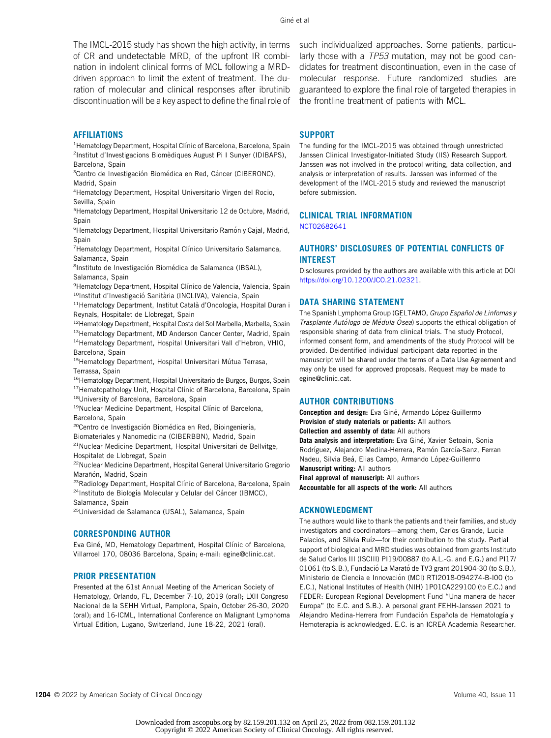The IMCL-2015 study has shown the high activity, in terms of CR and undetectable MRD, of the upfront IR combination in indolent clinical forms of MCL following a MRDdriven approach to limit the extent of treatment. The duration of molecular and clinical responses after ibrutinib discontinuation will be a key aspect to define the final role of

#### AFFILIATIONS

<sup>1</sup> Hematology Department, Hospital Clínic of Barcelona, Barcelona, Spain <sup>2</sup>Institut d'Investigacions Biomèdiques August Pi I Sunyer (IDIBAPS), Barcelona, Spain

<sup>3</sup> Centro de Investigación Biomédica en Red, Cáncer (CIBERONC), Madrid, Spain

4 Hematology Department, Hospital Universitario Virgen del Rocio, Sevilla, Spain

5 Hematology Department, Hospital Universitario 12 de Octubre, Madrid, Spain

<sup>6</sup> Hematology Department, Hospital Universitario Ramón y Cajal, Madrid, Spain

<sup>7</sup> Hematology Department, Hospital Clínico Universitario Salamanca, Salamanca, Spain

<sup>8</sup>Instituto de Investigación Biomédica de Salamanca (IBSAL), Salamanca, Spain

<sup>9</sup> Hematology Department, Hospital Clínico de Valencia, Valencia, Spain <sup>10</sup>Institut d'Investigació Sanitària (INCLIVA), Valencia, Spain

<sup>11</sup>Hematology Department, Institut Català d'Oncologia, Hospital Duran i Reynals, Hospitalet de Llobregat, Spain

<sup>12</sup>Hematology Department, Hospital Costa del Sol Marbella, Marbella, Spain 13Hematology Department, MD Anderson Cancer Center, Madrid, Spain

14Hematology Department, Hospital Universitari Vall d'Hebron, VHIO, Barcelona, Spain

<sup>15</sup>Hematology Department, Hospital Universitari Mútua Terrasa, Terrassa, Spain

<sup>16</sup> Hematology Department, Hospital Universitario de Burgos, Burgos, Spain <sup>17</sup> Hematopathology Unit, Hospital Clínic of Barcelona, Barcelona, Spain

18University of Barcelona, Barcelona, Spain

<sup>19</sup>Nuclear Medicine Department, Hospital Clínic of Barcelona, Barcelona, Spain

<sup>20</sup>Centro de Investigación Biomédica en Red, Bioingeniería,

Biomateriales y Nanomedicina (CIBERBBN), Madrid, Spain

 $21$ Nuclear Medicine Department, Hospital Universitari de Bellvitge, Hospitalet de Llobregat, Spain

22Nuclear Medicine Department, Hospital General Universitario Gregorio Marañón, Madrid, Spain

<sup>23</sup>Radiology Department, Hospital Clínic of Barcelona, Barcelona, Spain <sup>24</sup>Instituto de Biología Molecular y Celular del Cáncer (IBMCC), Salamanca, Spain

25Universidad de Salamanca (USAL), Salamanca, Spain

### CORRESPONDING AUTHOR

Eva Giné, MD, Hematology Department, Hospital Clínic of Barcelona, Villarroel 170, 08036 Barcelona, Spain; e-mail: [egine@clinic.cat](mailto:egine@clinic.cat).

#### PRIOR PRESENTATION

Presented at the 61st Annual Meeting of the American Society of Hematology, Orlando, FL, December 7-10, 2019 (oral); LXII Congreso Nacional de la SEHH Virtual, Pamplona, Spain, October 26-30, 2020 (oral); and 16-ICML, International Conference on Malignant Lymphoma Virtual Edition, Lugano, Switzerland, June 18-22, 2021 (oral).

such individualized approaches. Some patients, particularly those with a TP53 mutation, may not be good candidates for treatment discontinuation, even in the case of molecular response. Future randomized studies are guaranteed to explore the final role of targeted therapies in the frontline treatment of patients with MCL.

#### SUPPORT

The funding for the IMCL-2015 was obtained through unrestricted Janssen Clinical Investigator-Initiated Study (IIS) Research Support. Janssen was not involved in the protocol writing, data collection, and analysis or interpretation of results. Janssen was informed of the development of the IMCL-2015 study and reviewed the manuscript before submission.

# CLINICAL TRIAL INFORMATION

[NCT02682641](https://www.clinicaltrials.gov/ct2/show/NCT02682641)

## AUTHORS' DISCLOSURES OF POTENTIAL CONFLICTS OF INTEREST

Disclosures provided by the authors are available with this article at DOI [https://doi.org/10.1200/JCO.21.02321.](https://ascopubs.org/doi/full/10.1200/JCO.21.02321)

#### DATA SHARING STATEMENT

The Spanish Lymphoma Group (GELTAMO, Grupo Español de Linfomas y Trasplante Autólogo de Médula Ósea) supports the ethical obligation of responsible sharing of data from clinical trials. The study Protocol, informed consent form, and amendments of the study Protocol will be provided. Deidentified individual participant data reported in the manuscript will be shared under the terms of a Data Use Agreement and may only be used for approved proposals. Request may be made to [egine@clinic.cat.](mailto:egine@clinic.cat)

## AUTHOR CONTRIBUTIONS

Conception and design: Eva Giné, Armando López-Guillermo Provision of study materials or patients: All authors Collection and assembly of data: All authors Data analysis and interpretation: Eva Giné, Xavier Setoain, Sonia Rodríguez, Alejandro Medina-Herrera, Ramón García-Sanz, Ferran Nadeu, Silvia Beá, Elias Campo, Armando López-Guillermo Manuscript writing: All authors **Final approval of manuscript:** All authors Accountable for all aspects of the work: All authors

#### ACKNOWLEDGMENT

The authors would like to thank the patients and their families, and study investigators and coordinators—among them, Carlos Grande, Lucia Palacios, and Silvia Ruíz-for their contribution to the study. Partial support of biological and MRD studies was obtained from grants Instituto de Salud Carlos III (ISCIII) PI19/00887 (to A.L.-G. and E.G.) and PI17/ 01061 (to S.B.), Fundació La Marató de TV3 grant 201904-30 (to S.B.), Ministerio de Ciencia e Innovación (MCI) RTI2018-094274-B-I00 (to E.C.), National Institutes of Health (NIH) 1P01CA229100 (to E.C.) and FEDER: European Regional Development Fund "Una manera de hacer Europa" (to E.C. and S.B.). A personal grant FEHH-Janssen 2021 to Alejandro Medina-Herrera from Fundación Española de Hematología y Hemoterapia is acknowledged. E.C. is an ICREA Academia Researcher.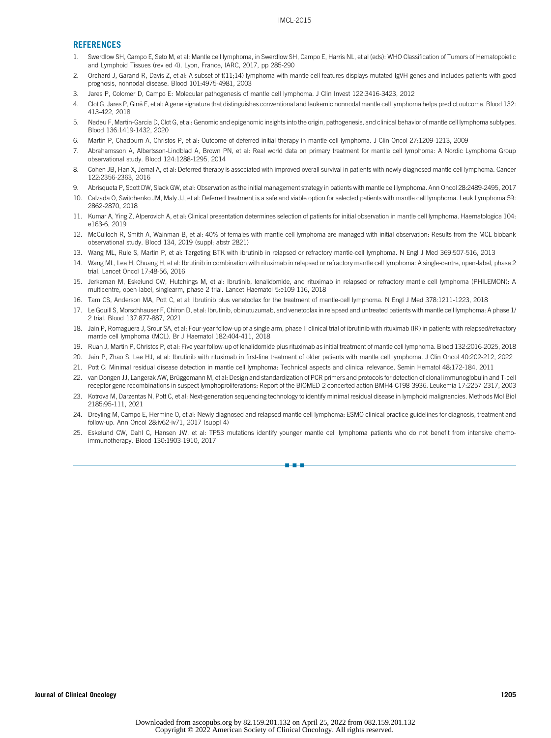#### **REFERENCES**

- <span id="page-9-0"></span>1. Swerdlow SH, Campo E, Seto M, et al: Mantle cell lymphoma, in Swerdlow SH, Campo E, Harris NL, et al (eds): WHO Classification of Tumors of Hematopoietic and Lymphoid Tissues (rev ed 4). Lyon, France, IARC, 2017, pp 285-290
- <span id="page-9-1"></span>2. Orchard J, Garand R, Davis Z, et al: A subset of t(11;14) lymphoma with mantle cell features displays mutated IgVH genes and includes patients with good prognosis, nonnodal disease. Blood 101:4975-4981, 2003
- <span id="page-9-2"></span>3. Jares P, Colomer D, Campo E: Molecular pathogenesis of mantle cell lymphoma. J Clin Invest 122:3416-3423, 2012
- <span id="page-9-15"></span>4. Clot G, Jares P, Gine E, et al: A gene signature that distinguishes conventional and leukemic nonnodal mantle cell lymphoma helps predict outcome. Blood 132: ´ 413-422, 2018
- <span id="page-9-3"></span>5. Nadeu F, Martin-Garcia D, Clot G, et al: Genomic and epigenomic insights into the origin, pathogenesis, and clinical behavior of mantle cell lymphoma subtypes. Blood 136:1419-1432, 2020
- <span id="page-9-4"></span>6. Martin P, Chadburn A, Christos P, et al: Outcome of deferred initial therapy in mantle-cell lymphoma. J Clin Oncol 27:1209-1213, 2009
- 7. Abrahamsson A, Albertsson-Lindblad A, Brown PN, et al: Real world data on primary treatment for mantle cell lymphoma: A Nordic Lymphoma Group observational study. Blood 124:1288-1295, 2014
- 8. Cohen JB, Han X, Jemal A, et al: Deferred therapy is associated with improved overall survival in patients with newly diagnosed mantle cell lymphoma. Cancer 122:2356-2363, 2016
- 9. Abrisqueta P, Scott DW, Slack GW, et al: Observation as the initial management strategy in patients with mantle cell lymphoma. Ann Oncol 28:2489-2495, 2017
- 10. Calzada O, Switchenko JM, Maly JJ, et al: Deferred treatment is a safe and viable option for selected patients with mantle cell lymphoma. Leuk Lymphoma 59: 2862-2870, 2018
- 11. Kumar A, Ying Z, Alperovich A, et al: Clinical presentation determines selection of patients for initial observation in mantle cell lymphoma. Haematologica 104: e163-6, 2019
- <span id="page-9-5"></span>12. McCulloch R, Smith A, Wainman B, et al: 40% of females with mantle cell lymphoma are managed with initial observation: Results from the MCL biobank observational study. Blood 134, 2019 (suppl; abstr 2821)
- <span id="page-9-6"></span>13. Wang ML, Rule S, Martin P, et al: Targeting BTK with ibrutinib in relapsed or refractory mantle-cell lymphoma. N Engl J Med 369:507-516, 2013
- <span id="page-9-7"></span>14. Wang ML, Lee H, Chuang H, et al: Ibrutinib in combination with rituximab in relapsed or refractory mantle cell lymphoma: A single-centre, open-label, phase 2 trial. Lancet Oncol 17:48-56, 2016
- <span id="page-9-17"></span>15. Jerkeman M, Eskelund CW, Hutchings M, et al: Ibrutinib, lenalidomide, and rituximab in relapsed or refractory mantle cell lymphoma (PHILEMON): A multicentre, open-label, singlearm, phase 2 trial. Lancet Haematol 5:e109-116, 2018
- 16. Tam CS, Anderson MA, Pott C, et al: Ibrutinib plus venetoclax for the treatment of mantle-cell lymphoma. N Engl J Med 378:1211-1223, 2018
- <span id="page-9-9"></span>17. Le Gouill S, Morschhauser F, Chiron D, et al: Ibrutinib, obinutuzumab, and venetoclax in relapsed and untreated patients with mantle cell lymphoma: A phase 1/ 2 trial. Blood 137:877-887, 2021
- <span id="page-9-8"></span>18. Jain P, Romaguera J, Srour SA, et al: Four-year follow-up of a single arm, phase II clinical trial of ibrutinib with rituximab (IR) in patients with relapsed/refractory mantle cell lymphoma (MCL). Br J Haematol 182:404-411, 2018
- <span id="page-9-10"></span>19. Ruan J, Martin P, Christos P, et al: Five year follow-up of lenalidomide plus rituximab as initial treatment of mantle cell lymphoma. Blood 132:2016-2025, 2018
- <span id="page-9-11"></span>20. Jain P, Zhao S, Lee HJ, et al: Ibrutinib with rituximab in first-line treatment of older patients with mantle cell lymphoma. J Clin Oncol 40:202-212, 2022
- <span id="page-9-12"></span>21. Pott C: Minimal residual disease detection in mantle cell lymphoma: Technical aspects and clinical relevance. Semin Hematol 48:172-184, 2011
- <span id="page-9-13"></span>22. van Dongen JJ, Langerak AW, Brüggemann M, et al: Design and standardization of PCR primers and protocols for detection of clonal immunoglobulin and T-cell receptor gene recombinations in suspect lymphoproliferations: Report of the BIOMED-2 concerted action BMH4-CT98-3936. Leukemia 17:2257-2317, 2003
- <span id="page-9-14"></span>23. Kotrova M, Darzentas N, Pott C, et al: Next-generation sequencing technology to identify minimal residual disease in lymphoid malignancies. Methods Mol Biol 2185:95-111, 2021
- <span id="page-9-16"></span>24. Dreyling M, Campo E, Hermine O, et al: Newly diagnosed and relapsed mantle cell lymphoma: ESMO clinical practice guidelines for diagnosis, treatment and follow-up. Ann Oncol 28:iv62-iv71, 2017 (suppl 4)
- <span id="page-9-18"></span>25. Eskelund CW, Dahl C, Hansen JW, et al: TP53 mutations identify younger mantle cell lymphoma patients who do not benefit from intensive chemoimmunotherapy. Blood 130:1903-1910, 2017

nn - 1